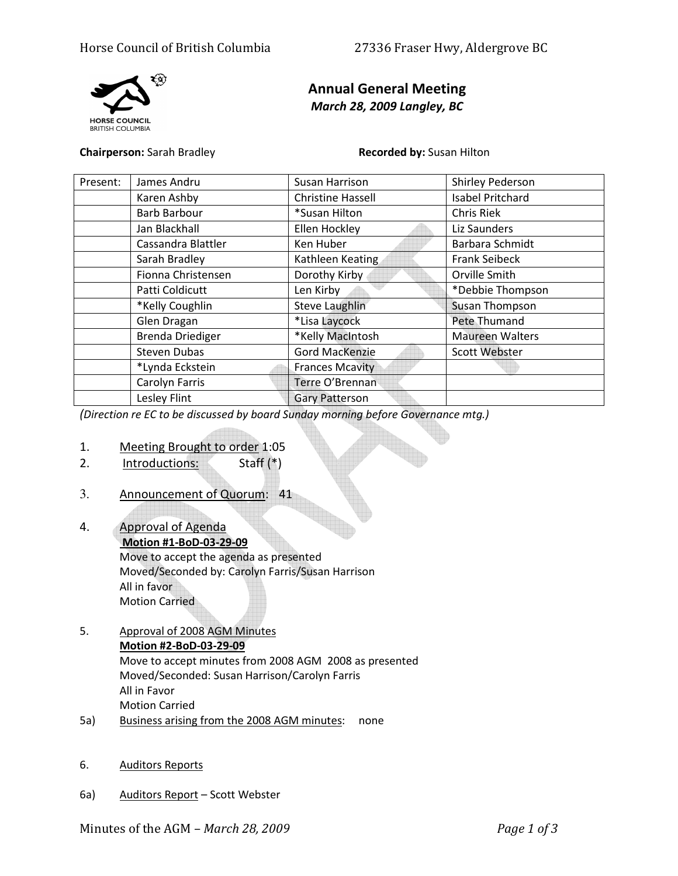

# Annual General Meeting March 28, 2009 Langley, BC

Chairperson: Sarah Bradley **Recorded by: Susan Hilton** 

| Present: | James Andru         | Susan Harrison           | Shirley Pederson       |
|----------|---------------------|--------------------------|------------------------|
|          | Karen Ashby         | <b>Christine Hassell</b> | Isabel Pritchard       |
|          | <b>Barb Barbour</b> | *Susan Hilton            | <b>Chris Riek</b>      |
|          | Jan Blackhall       | Ellen Hockley            | Liz Saunders           |
|          | Cassandra Blattler  | Ken Huber                | Barbara Schmidt        |
|          | Sarah Bradley       | Kathleen Keating         | <b>Frank Seibeck</b>   |
|          | Fionna Christensen  | Dorothy Kirby            | Orville Smith          |
|          | Patti Coldicutt     | Len Kirby                | *Debbie Thompson       |
|          | *Kelly Coughlin     | <b>Steve Laughlin</b>    | <b>Susan Thompson</b>  |
|          | Glen Dragan         | *Lisa Laycock            | Pete Thumand           |
|          | Brenda Driediger    | *Kelly MacIntosh         | <b>Maureen Walters</b> |
|          | <b>Steven Dubas</b> | <b>Gord MacKenzie</b>    | Scott Webster          |
|          | *Lynda Eckstein     | <b>Frances Mcavity</b>   |                        |
|          | Carolyn Farris      | Terre O'Brennan          |                        |
|          | Lesley Flint        | <b>Gary Patterson</b>    |                        |

(Direction re EC to be discussed by board Sunday morning before Governance mtg.)

- 1. Meeting Brought to order 1:05
- 2. Introductions: Staff (\*)
- 3. Announcement of Quorum: 41
- 4. Approval of Agenda Motion #1-BoD-03-29-09

Move to accept the agenda as presented Moved/Seconded by: Carolyn Farris/Susan Harrison All in favor Motion Carried

- 5. Approval of 2008 AGM Minutes Motion #2-BoD-03-29-09 Move to accept minutes from 2008 AGM 2008 as presented Moved/Seconded: Susan Harrison/Carolyn Farris All in Favor Motion Carried
- 5a) Business arising from the 2008 AGM minutes: none
- 6. Auditors Reports
- 6a) Auditors Report Scott Webster

Minutes of the AGM – March 28, 2009Page 1 of 3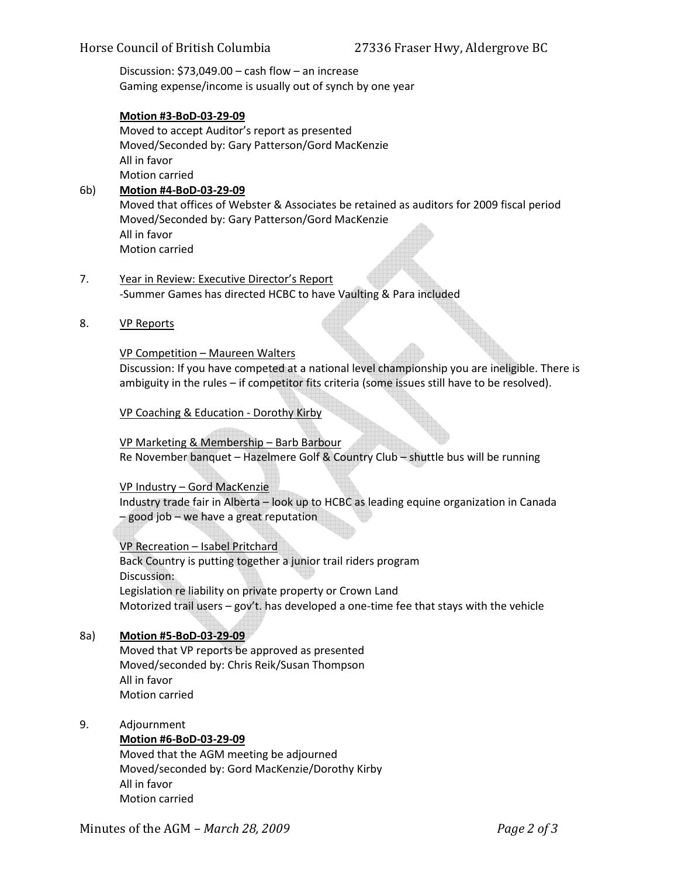# Horse Council of British Columbia 27336 Fraser Hwy, Aldergrove BC

 Discussion: \$73,049.00 – cash flow – an increase Gaming expense/income is usually out of synch by one year

## Motion #3-BoD-03-29-09

Moved to accept Auditor's report as presented Moved/Seconded by: Gary Patterson/Gord MacKenzie All in favor Motion carried

## 6b) Motion #4-BoD-03-29-09

Moved that offices of Webster & Associates be retained as auditors for 2009 fiscal period Moved/Seconded by: Gary Patterson/Gord MacKenzie All in favor Motion carried

- 7. Year in Review: Executive Director's Report -Summer Games has directed HCBC to have Vaulting & Para included
- 8. VP Reports

#### VP Competition – Maureen Walters

 Discussion: If you have competed at a national level championship you are ineligible. There is ambiguity in the rules – if competitor fits criteria (some issues still have to be resolved).

VP Coaching & Education - Dorothy Kirby

 VP Marketing & Membership – Barb Barbour Re November banquet – Hazelmere Golf & Country Club – shuttle bus will be running

#### VP Industry – Gord MacKenzie

 Industry trade fair in Alberta – look up to HCBC as leading equine organization in Canada – good job – we have a great reputation

#### VP Recreation – Isabel Pritchard

 Back Country is putting together a junior trail riders program Discussion: Legislation re liability on private property or Crown Land Motorized trail users – gov't. has developed a one-time fee that stays with the vehicle

# 8a) Motion #5-BoD-03-29-09

 Moved that VP reports be approved as presented Moved/seconded by: Chris Reik/Susan Thompson All in favor Motion carried

#### 9. Adjournment

## Motion #6-BoD-03-29-09

 Moved that the AGM meeting be adjourned Moved/seconded by: Gord MacKenzie/Dorothy Kirby All in favor Motion carried